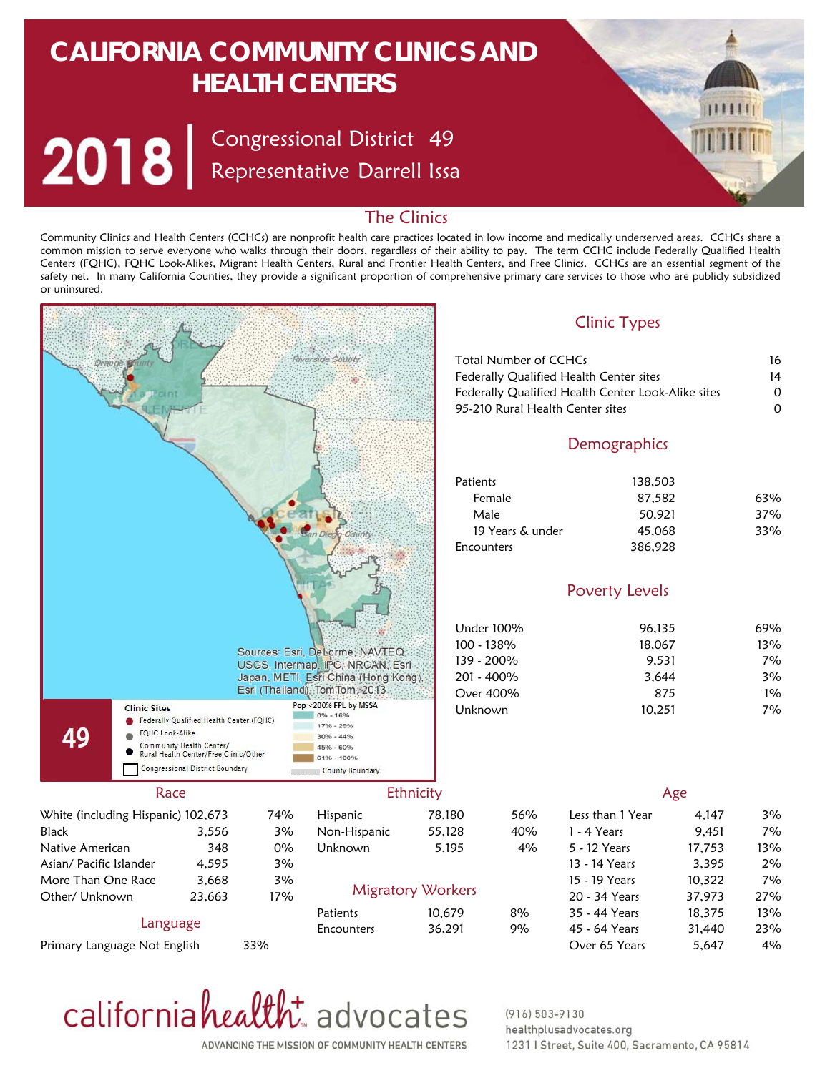# **CALIFORNIA COMMUNITY CLINICS AND HEALTH CENTERS**

Congressional District Representative Darrell Issa 49



### The Clinics

Community Clinics and Health Centers (CCHCs) are nonprofit health care practices located in low income and medically underserved areas. CCHCs share a common mission to serve everyone who walks through their doors, regardless of their ability to pay. The term CCHC include Federally Qualified Health Centers (FQHC), FQHC Look-Alikes, Migrant Health Centers, Rural and Frontier Health Centers, and Free Clinics. CCHCs are an essential segment of the safety net. In many California Counties, they provide a significant proportion of comprehensive primary care services to those who are publicly subsidized or uninsured.





#### $(916) 503 - 9130$ healthplusadvocates.org 1231 | Street, Suite 400, Sacramento, CA 95814